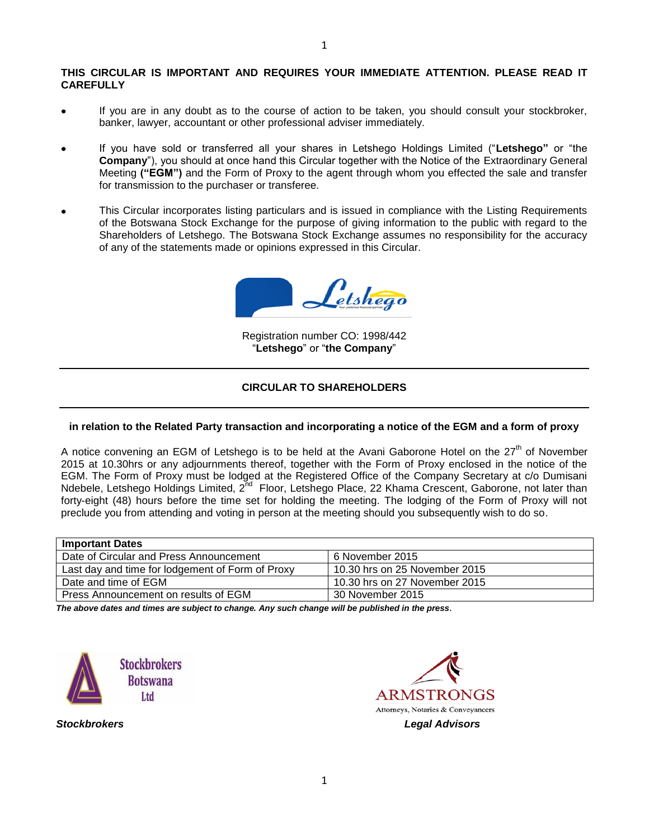#### **THIS CIRCULAR IS IMPORTANT AND REQUIRES YOUR IMMEDIATE ATTENTION. PLEASE READ IT CAREFULLY**

- If you are in any doubt as to the course of action to be taken, you should consult your stockbroker,  $\bullet$ banker, lawyer, accountant or other professional adviser immediately.
- If you have sold or transferred all your shares in Letshego Holdings Limited ("**Letshego"** or "the **Company**"), you should at once hand this Circular together with the Notice of the Extraordinary General Meeting **("EGM")** and the Form of Proxy to the agent through whom you effected the sale and transfer for transmission to the purchaser or transferee.
- This Circular incorporates listing particulars and is issued in compliance with the Listing Requirements of the Botswana Stock Exchange for the purpose of giving information to the public with regard to the Shareholders of Letshego. The Botswana Stock Exchange assumes no responsibility for the accuracy of any of the statements made or opinions expressed in this Circular.

 $\mathcal{L}_{\it etshego}$ 

Registration number CO: 1998/442 "**Letshego**" or "**the Company**"

## **CIRCULAR TO SHAREHOLDERS**

### **in relation to the Related Party transaction and incorporating a notice of the EGM and a form of proxy**

A notice convening an EGM of Letshego is to be held at the Avani Gaborone Hotel on the  $27<sup>th</sup>$  of November 2015 at 10.30hrs or any adjournments thereof, together with the Form of Proxy enclosed in the notice of the EGM. The Form of Proxy must be lodged at the Registered Office of the Company Secretary at c/o Dumisani Ndebele, Letshego Holdings Limited, 2<sup>nd</sup> Floor, Letshego Place, 22 Khama Crescent, Gaborone, not later than forty-eight (48) hours before the time set for holding the meeting. The lodging of the Form of Proxy will not preclude you from attending and voting in person at the meeting should you subsequently wish to do so.

| <b>Important Dates</b>                           |                               |
|--------------------------------------------------|-------------------------------|
| Date of Circular and Press Announcement          | 6 November 2015               |
| Last day and time for lodgement of Form of Proxy | 10.30 hrs on 25 November 2015 |
| Date and time of EGM                             | 10.30 hrs on 27 November 2015 |
| Press Announcement on results of EGM             | 30 November 2015              |

*The above dates and times are subject to change. Any such change will be published in the press.*



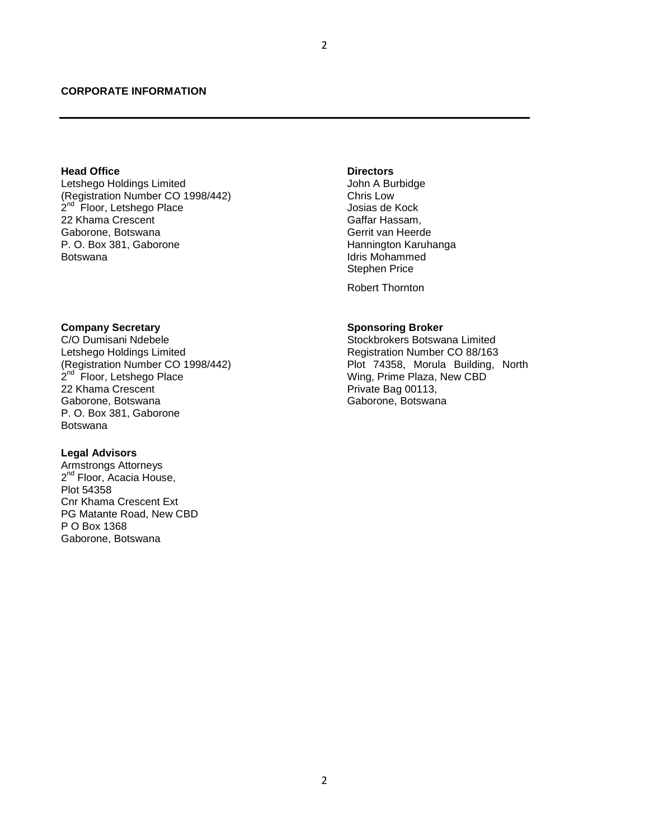### **CORPORATE INFORMATION**

#### **Head Office**

Letshego Holdings Limited (Registration Number CO 1998/442) 2<sup>nd</sup> Floor, Letshego Place 22 Khama Crescent Gaborone, Botswana P. O. Box 381, Gaborone Botswana

#### **Company Secretary**

C/O Dumisani Ndebele Letshego Holdings Limited (Registration Number CO 1998/442) 2<sup>nd</sup> Floor, Letshego Place 22 Khama Crescent Gaborone, Botswana P. O. Box 381, Gaborone Botswana

# **Legal Advisors**

Armstrongs Attorneys 2<sup>nd</sup> Floor, Acacia House, Plot 54358 Cnr Khama Crescent Ext PG Matante Road, New CBD P O Box 1368 Gaborone, Botswana

#### **Directors**

John A Burbidge Chris Low Josias de Kock Gaffar Hassam, Gerrit van Heerde Hannington Karuhanga Idris Mohammed Stephen Price

Robert Thornton

#### **Sponsoring Broker**

Stockbrokers Botswana Limited Registration Number CO 88/163 Plot 74358, Morula Building, North Wing, Prime Plaza, New CBD Private Bag 00113, Gaborone, Botswana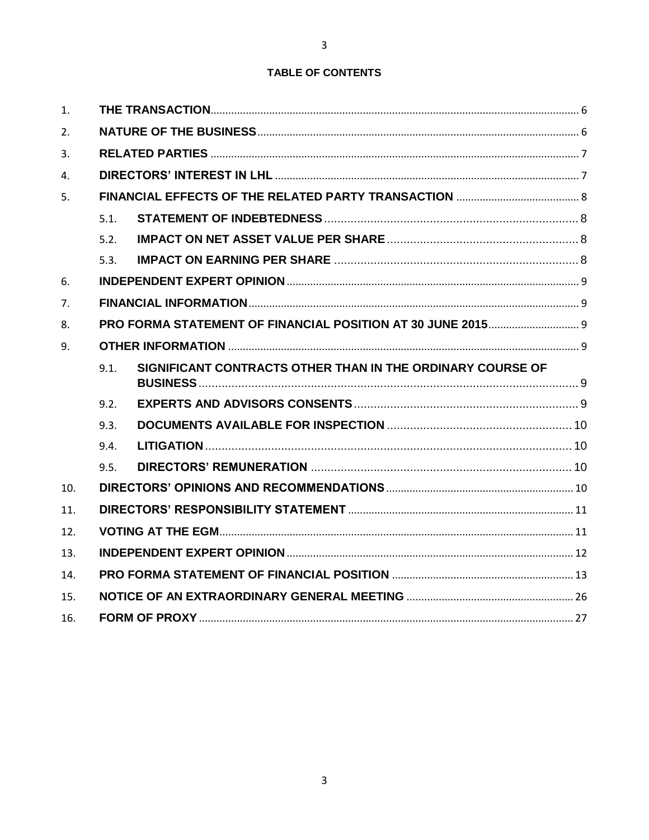# TABLE OF CONTENTS

| 1.  |      |                                                            |  |
|-----|------|------------------------------------------------------------|--|
| 2.  |      |                                                            |  |
| 3.  |      |                                                            |  |
| 4.  |      |                                                            |  |
| 5.  |      |                                                            |  |
|     | 5.1. |                                                            |  |
|     | 5.2. |                                                            |  |
|     | 5.3. |                                                            |  |
| 6.  |      |                                                            |  |
| 7.  |      |                                                            |  |
| 8.  |      |                                                            |  |
| 9.  |      |                                                            |  |
|     | 9.1. | SIGNIFICANT CONTRACTS OTHER THAN IN THE ORDINARY COURSE OF |  |
|     | 9.2. |                                                            |  |
|     | 9.3. |                                                            |  |
|     | 9.4. |                                                            |  |
|     | 9.5. |                                                            |  |
| 10. |      |                                                            |  |
| 11. |      |                                                            |  |
| 12. |      |                                                            |  |
| 13. |      |                                                            |  |
| 14. |      |                                                            |  |
| 15. |      |                                                            |  |
| 16. |      |                                                            |  |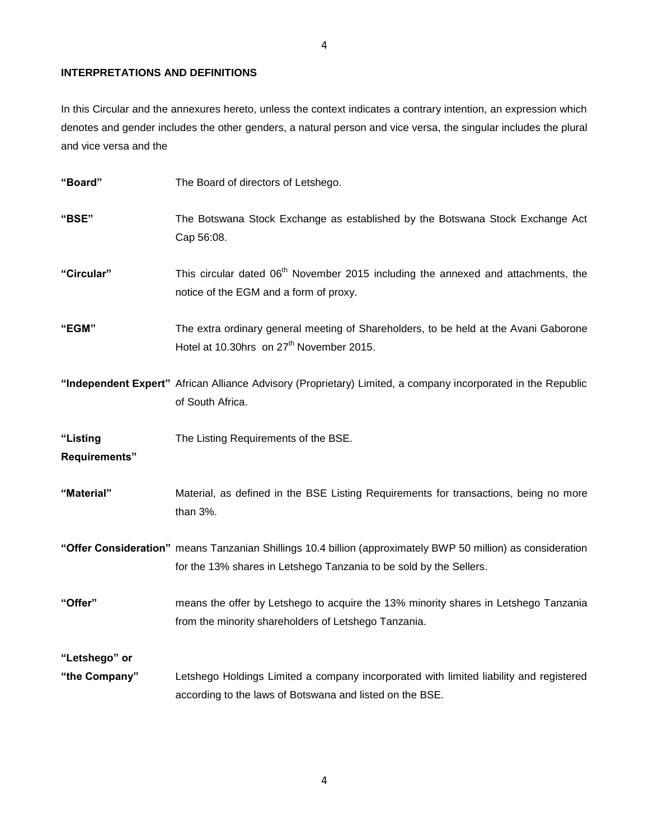## **INTERPRETATIONS AND DEFINITIONS**

In this Circular and the annexures hereto, unless the context indicates a contrary intention, an expression which denotes and gender includes the other genders, a natural person and vice versa, the singular includes the plural and vice versa and the

| "Board"                   | The Board of directors of Letshego.                                                                                                                                                |
|---------------------------|------------------------------------------------------------------------------------------------------------------------------------------------------------------------------------|
| "BSE"                     | The Botswana Stock Exchange as established by the Botswana Stock Exchange Act<br>Cap 56:08.                                                                                        |
| "Circular"                | This circular dated 06 <sup>th</sup> November 2015 including the annexed and attachments, the<br>notice of the EGM and a form of proxy.                                            |
| "EGM"                     | The extra ordinary general meeting of Shareholders, to be held at the Avani Gaborone<br>Hotel at 10.30hrs on 27 <sup>th</sup> November 2015.                                       |
|                           | "Independent Expert" African Alliance Advisory (Proprietary) Limited, a company incorporated in the Republic<br>of South Africa.                                                   |
| "Listing<br>Requirements" | The Listing Requirements of the BSE.                                                                                                                                               |
| "Material"                | Material, as defined in the BSE Listing Requirements for transactions, being no more<br>than 3%.                                                                                   |
|                           | "Offer Consideration" means Tanzanian Shillings 10.4 billion (approximately BWP 50 million) as consideration<br>for the 13% shares in Letshego Tanzania to be sold by the Sellers. |
| "Offer"                   | means the offer by Letshego to acquire the 13% minority shares in Letshego Tanzania<br>from the minority shareholders of Letshego Tanzania.                                        |
| "Letshego" or             |                                                                                                                                                                                    |
| "the Company"             | Letshego Holdings Limited a company incorporated with limited liability and registered<br>according to the laws of Botswana and listed on the BSE.                                 |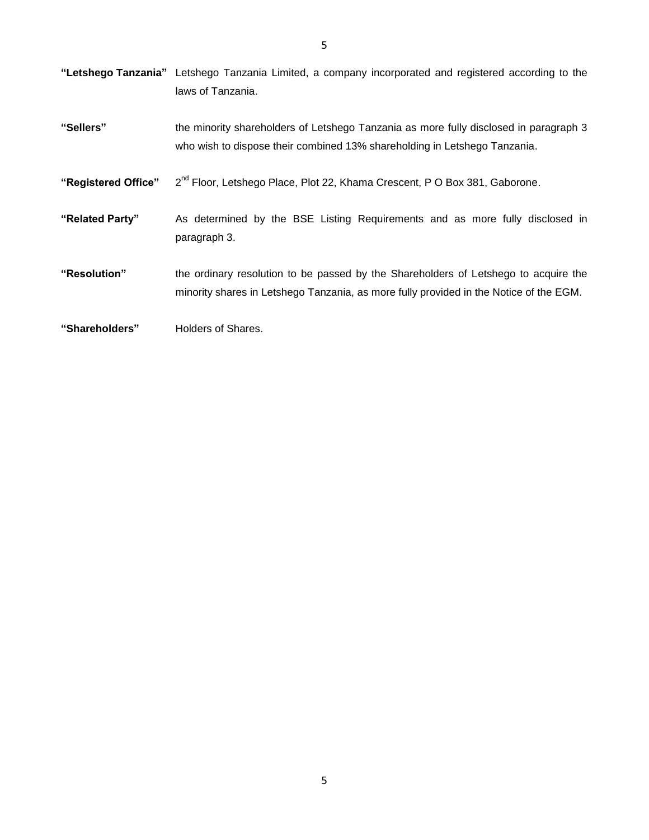**"Letshego Tanzania"** Letshego Tanzania Limited, a company incorporated and registered according to the laws of Tanzania. **"Sellers"** the minority shareholders of Letshego Tanzania as more fully disclosed in paragraph 3 who wish to dispose their combined 13% shareholding in Letshego Tanzania. **"Registered Office"** 2 2<sup>nd</sup> Floor, Letshego Place, Plot 22, Khama Crescent, P O Box 381, Gaborone. **"Related Party"** As determined by the BSE Listing Requirements and as more fully disclosed in paragraph 3. **"Resolution"** the ordinary resolution to be passed by the Shareholders of Letshego to acquire the minority shares in Letshego Tanzania, as more fully provided in the Notice of the EGM. **"Shareholders"** Holders of Shares.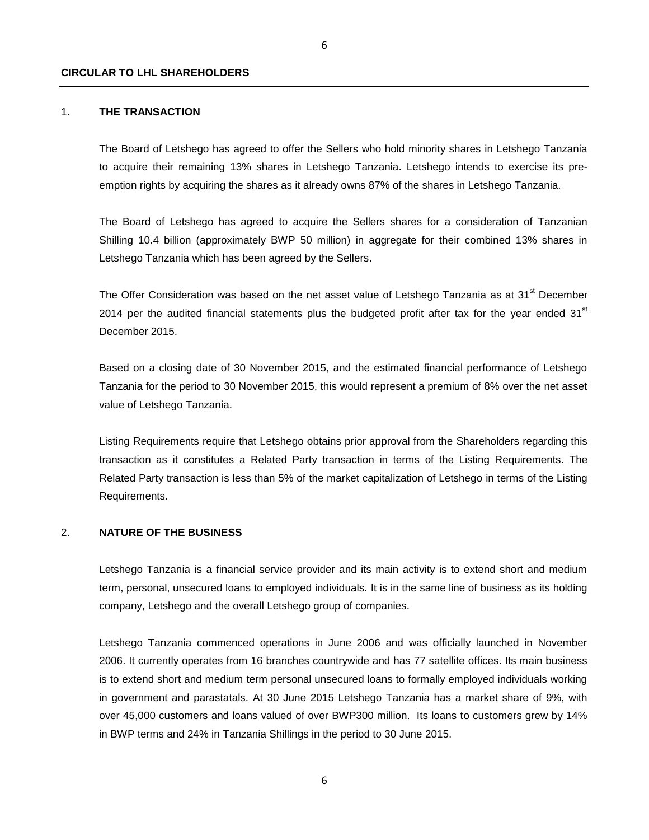#### **CIRCULAR TO LHL SHAREHOLDERS**

#### 1. **THE TRANSACTION**

<span id="page-5-0"></span>The Board of Letshego has agreed to offer the Sellers who hold minority shares in Letshego Tanzania to acquire their remaining 13% shares in Letshego Tanzania. Letshego intends to exercise its preemption rights by acquiring the shares as it already owns 87% of the shares in Letshego Tanzania.

The Board of Letshego has agreed to acquire the Sellers shares for a consideration of Tanzanian Shilling 10.4 billion (approximately BWP 50 million) in aggregate for their combined 13% shares in Letshego Tanzania which has been agreed by the Sellers.

The Offer Consideration was based on the net asset value of Letshego Tanzania as at 31<sup>st</sup> December 2014 per the audited financial statements plus the budgeted profit after tax for the year ended 31<sup>st</sup> December 2015.

Based on a closing date of 30 November 2015, and the estimated financial performance of Letshego Tanzania for the period to 30 November 2015, this would represent a premium of 8% over the net asset value of Letshego Tanzania.

Listing Requirements require that Letshego obtains prior approval from the Shareholders regarding this transaction as it constitutes a Related Party transaction in terms of the Listing Requirements. The Related Party transaction is less than 5% of the market capitalization of Letshego in terms of the Listing Requirements.

## 2. **NATURE OF THE BUSINESS**

<span id="page-5-1"></span>Letshego Tanzania is a financial service provider and its main activity is to extend short and medium term, personal, unsecured loans to employed individuals. It is in the same line of business as its holding company, Letshego and the overall Letshego group of companies.

Letshego Tanzania commenced operations in June 2006 and was officially launched in November 2006. It currently operates from 16 branches countrywide and has 77 satellite offices. Its main business is to extend short and medium term personal unsecured loans to formally employed individuals working in government and parastatals. At 30 June 2015 Letshego Tanzania has a market share of 9%, with over 45,000 customers and loans valued of over BWP300 million. Its loans to customers grew by 14% in BWP terms and 24% in Tanzania Shillings in the period to 30 June 2015.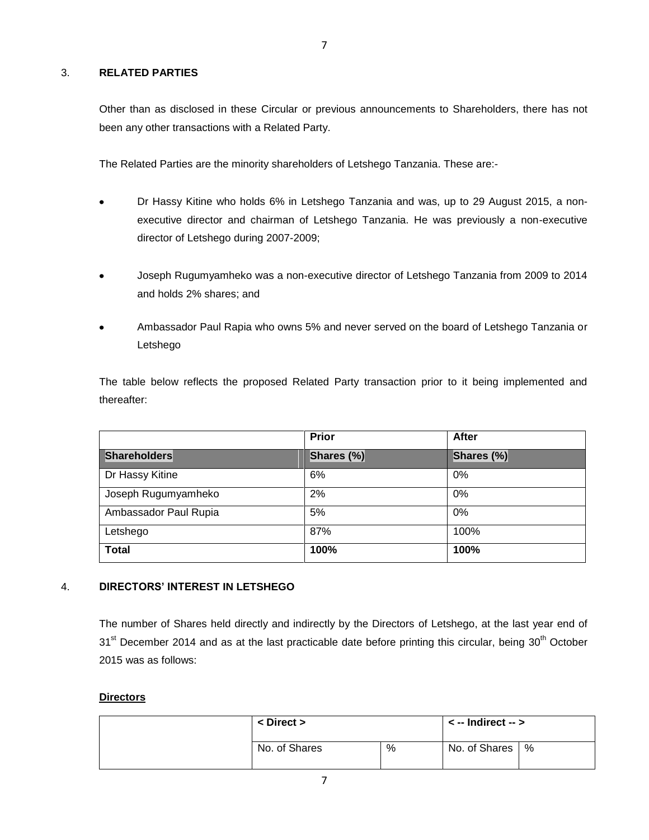## 3. **RELATED PARTIES**

<span id="page-6-0"></span>Other than as disclosed in these Circular or previous announcements to Shareholders, there has not been any other transactions with a Related Party.

The Related Parties are the minority shareholders of Letshego Tanzania. These are:-

- Dr Hassy Kitine who holds 6% in Letshego Tanzania and was, up to 29 August 2015, a non- $\bullet$ executive director and chairman of Letshego Tanzania. He was previously a non-executive director of Letshego during 2007-2009;
- Joseph Rugumyamheko was a non-executive director of Letshego Tanzania from 2009 to 2014 and holds 2% shares; and
- Ambassador Paul Rapia who owns 5% and never served on the board of Letshego Tanzania or Letshego

The table below reflects the proposed Related Party transaction prior to it being implemented and thereafter:

|                       | <b>Prior</b> | <b>After</b> |
|-----------------------|--------------|--------------|
| <b>Shareholders</b>   | Shares (%)   | Shares (%)   |
| Dr Hassy Kitine       | 6%           | 0%           |
| Joseph Rugumyamheko   | 2%           | 0%           |
| Ambassador Paul Rupia | 5%           | $0\%$        |
| Letshego              | 87%          | 100%         |
| <b>Total</b>          | 100%         | 100%         |

## 4. **DIRECTORS' INTEREST IN LETSHEGO**

<span id="page-6-1"></span>The number of Shares held directly and indirectly by the Directors of Letshego, at the last year end of  $31<sup>st</sup>$  December 2014 and as at the last practicable date before printing this circular, being  $30<sup>th</sup>$  October 2015 was as follows:

#### **Directors**

| $\langle$ Direct $\rangle$ |   | $\le$ -- Indirect -- $>$ |  |  |
|----------------------------|---|--------------------------|--|--|
| No. of Shares              | % | No. of Shares   %        |  |  |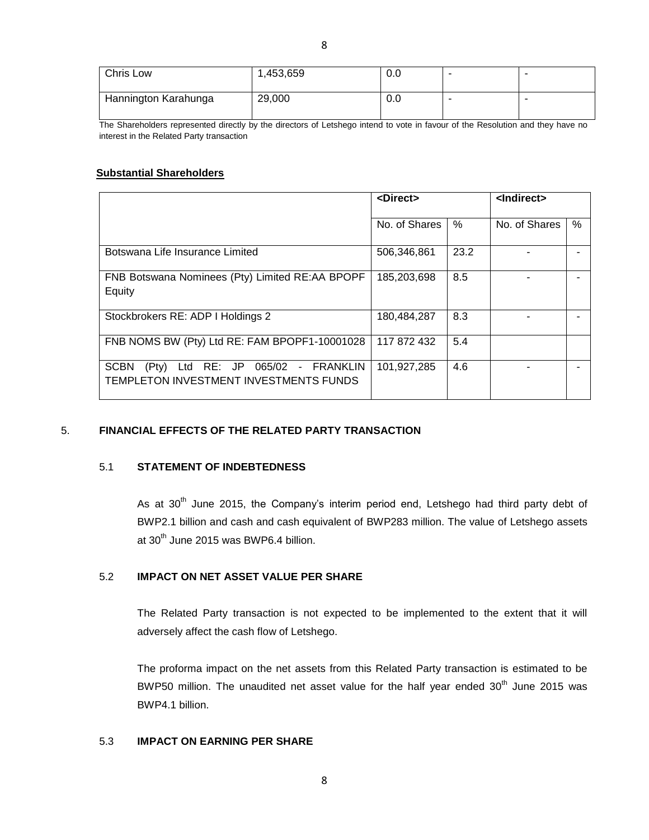The Shareholders represented directly by the directors of Letshego intend to vote in favour of the Resolution and they have no interest in the Related Party transaction

## **Substantial Shareholders**

|                                                                                                                     | <direct></direct> |      | <lndirect></lndirect> |      |  |
|---------------------------------------------------------------------------------------------------------------------|-------------------|------|-----------------------|------|--|
|                                                                                                                     | No. of Shares     | $\%$ | No. of Shares         | $\%$ |  |
| Botswana Life Insurance Limited                                                                                     | 506,346,861       | 23.2 |                       |      |  |
| FNB Botswana Nominees (Pty) Limited RE:AA BPOPF<br>Equity                                                           | 185,203,698       | 8.5  |                       |      |  |
| Stockbrokers RE: ADP I Holdings 2                                                                                   | 180,484,287       | 8.3  |                       |      |  |
| FNB NOMS BW (Pty) Ltd RE: FAM BPOPF1-10001028                                                                       | 117 872 432       | 5.4  |                       |      |  |
| RE: JP 065/02<br><b>SCBN</b><br><b>FRANKLIN</b><br>(Pty)<br>Ltd<br>$\sim$<br>TEMPLETON INVESTMENT INVESTMENTS FUNDS | 101,927,285       | 4.6  |                       |      |  |

#### 5. **FINANCIAL EFFECTS OF THE RELATED PARTY TRANSACTION**

## 5.1 **STATEMENT OF INDEBTEDNESS**

<span id="page-7-1"></span><span id="page-7-0"></span>As at  $30<sup>th</sup>$  June 2015, the Company's interim period end, Letshego had third party debt of BWP2.1 billion and cash and cash equivalent of BWP283 million. The value of Letshego assets at 30<sup>th</sup> June 2015 was BWP6.4 billion.

## 5.2 **IMPACT ON NET ASSET VALUE PER SHARE**

<span id="page-7-2"></span>The Related Party transaction is not expected to be implemented to the extent that it will adversely affect the cash flow of Letshego.

<span id="page-7-3"></span>The proforma impact on the net assets from this Related Party transaction is estimated to be BWP50 million. The unaudited net asset value for the half year ended  $30<sup>th</sup>$  June 2015 was BWP4.1 billion.

## 5.3 **IMPACT ON EARNING PER SHARE**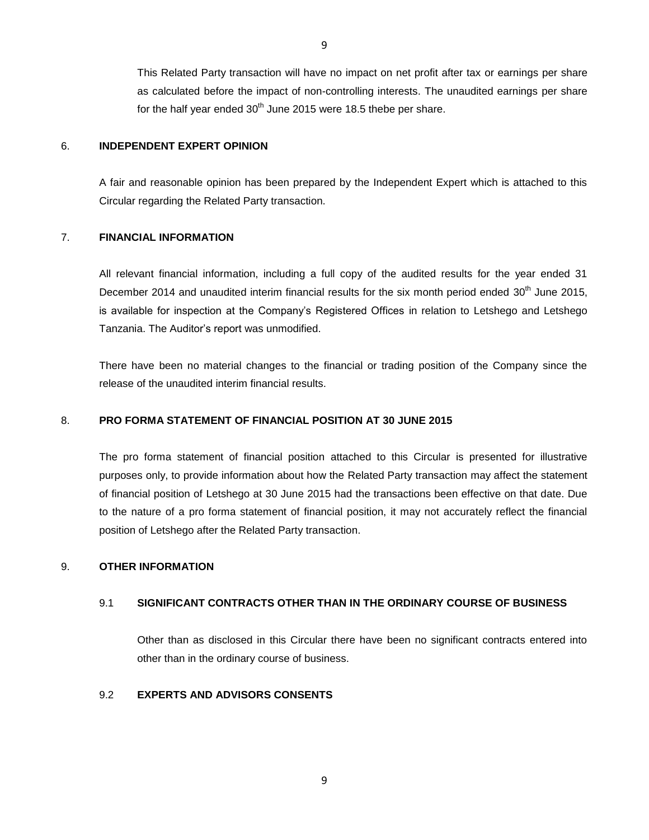This Related Party transaction will have no impact on net profit after tax or earnings per share as calculated before the impact of non-controlling interests. The unaudited earnings per share for the half year ended  $30<sup>th</sup>$  June 2015 were 18.5 thebe per share.

### 6. **INDEPENDENT EXPERT OPINION**

A fair and reasonable opinion has been prepared by the Independent Expert which is attached to this Circular regarding the Related Party transaction.

#### 7. **FINANCIAL INFORMATION**

<span id="page-8-1"></span>All relevant financial information, including a full copy of the audited results for the year ended 31 December 2014 and unaudited interim financial results for the six month period ended  $30<sup>th</sup>$  June 2015, is available for inspection at the Company's Registered Offices in relation to Letshego and Letshego Tanzania. The Auditor's report was unmodified.

There have been no material changes to the financial or trading position of the Company since the release of the unaudited interim financial results.

## 8. **PRO FORMA STATEMENT OF FINANCIAL POSITION AT 30 JUNE 2015**

<span id="page-8-2"></span>The pro forma statement of financial position attached to this Circular is presented for illustrative purposes only, to provide information about how the Related Party transaction may affect the statement of financial position of Letshego at 30 June 2015 had the transactions been effective on that date. Due to the nature of a pro forma statement of financial position, it may not accurately reflect the financial position of Letshego after the Related Party transaction.

#### 9. **OTHER INFORMATION**

### 9.1 **SIGNIFICANT CONTRACTS OTHER THAN IN THE ORDINARY COURSE OF BUSINESS**

<span id="page-8-5"></span><span id="page-8-4"></span><span id="page-8-3"></span>Other than as disclosed in this Circular there have been no significant contracts entered into other than in the ordinary course of business.

## 9.2 **EXPERTS AND ADVISORS CONSENTS**

<span id="page-8-0"></span>9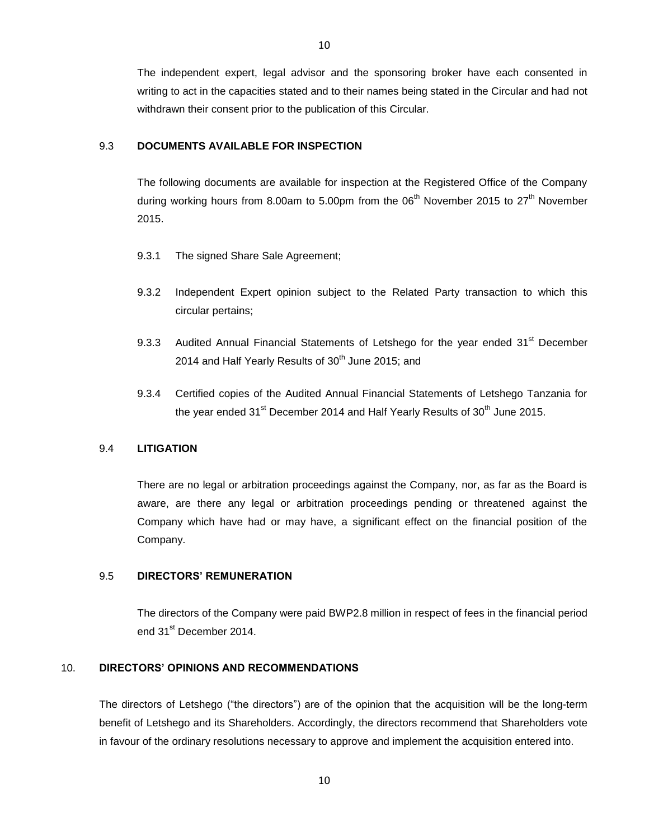The independent expert, legal advisor and the sponsoring broker have each consented in writing to act in the capacities stated and to their names being stated in the Circular and had not withdrawn their consent prior to the publication of this Circular.

## 9.3 **DOCUMENTS AVAILABLE FOR INSPECTION**

<span id="page-9-0"></span>The following documents are available for inspection at the Registered Office of the Company during working hours from 8.00am to 5.00pm from the  $06<sup>th</sup>$  November 2015 to  $27<sup>th</sup>$  November 2015.

- 9.3.1 The signed Share Sale Agreement;
- 9.3.2 Independent Expert opinion subject to the Related Party transaction to which this circular pertains;
- 9.3.3 Audited Annual Financial Statements of Letshego for the year ended 31<sup>st</sup> December 2014 and Half Yearly Results of  $30<sup>th</sup>$  June 2015; and
- 9.3.4 Certified copies of the Audited Annual Financial Statements of Letshego Tanzania for the year ended  $31<sup>st</sup>$  December 2014 and Half Yearly Results of  $30<sup>th</sup>$  June 2015.

#### 9.4 **LITIGATION**

<span id="page-9-1"></span>There are no legal or arbitration proceedings against the Company, nor, as far as the Board is aware, are there any legal or arbitration proceedings pending or threatened against the Company which have had or may have, a significant effect on the financial position of the Company.

#### 9.5 **DIRECTORS' REMUNERATION**

<span id="page-9-3"></span><span id="page-9-2"></span>The directors of the Company were paid BWP2.8 million in respect of fees in the financial period end 31<sup>st</sup> December 2014.

## 10. **DIRECTORS' OPINIONS AND RECOMMENDATIONS**

The directors of Letshego ("the directors") are of the opinion that the acquisition will be the long-term benefit of Letshego and its Shareholders. Accordingly, the directors recommend that Shareholders vote in favour of the ordinary resolutions necessary to approve and implement the acquisition entered into.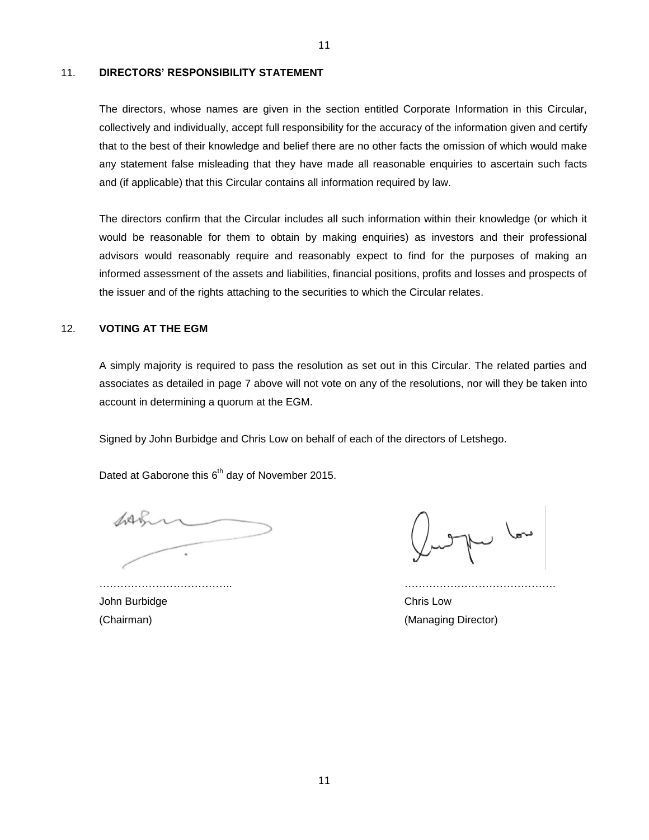#### 11. **DIRECTORS' RESPONSIBILITY STATEMENT**

<span id="page-10-0"></span>The directors, whose names are given in the section entitled Corporate Information in this Circular, collectively and individually, accept full responsibility for the accuracy of the information given and certify that to the best of their knowledge and belief there are no other facts the omission of which would make any statement false misleading that they have made all reasonable enquiries to ascertain such facts and (if applicable) that this Circular contains all information required by law.

The directors confirm that the Circular includes all such information within their knowledge (or which it would be reasonable for them to obtain by making enquiries) as investors and their professional advisors would reasonably require and reasonably expect to find for the purposes of making an informed assessment of the assets and liabilities, financial positions, profits and losses and prospects of the issuer and of the rights attaching to the securities to which the Circular relates.

## 12. **VOTING AT THE EGM**

<span id="page-10-1"></span>A simply majority is required to pass the resolution as set out in this Circular. The related parties and associates as detailed in page 7 above will not vote on any of the resolutions, nor will they be taken into account in determining a quorum at the EGM.

Signed by John Burbidge and Chris Low on behalf of each of the directors of Letshego.

Dated at Gaborone this 6<sup>th</sup> day of November 2015.

John Burbidge Chris Low

pu low

(Chairman) (Chairman) (Chairman) (Chairman) (Chairman) (Managing Director)

……………………………….. …………………………………….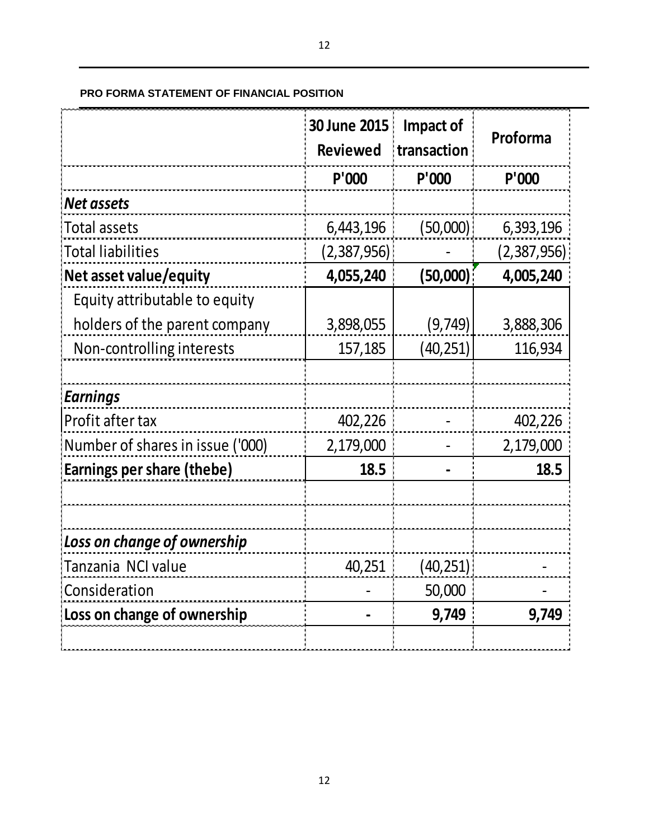## <span id="page-11-0"></span>**PRO FORMA STATEMENT OF FINANCIAL POSITION**

|                                  | 30 June 2015<br><b>Reviewed</b> | Impact of<br>transaction | Proforma    |
|----------------------------------|---------------------------------|--------------------------|-------------|
|                                  | P'000                           | P'000                    | P'000       |
| <b>Net assets</b>                |                                 |                          |             |
| <b>Total assets</b>              | 6,443,196                       | (50,000)                 | 6,393,196   |
| Total liabilities                | (2,387,956)                     |                          | (2,387,956) |
| Net asset value/equity           | 4,055,240                       | (50,000)                 | 4,005,240   |
| Equity attributable to equity    |                                 |                          |             |
| holders of the parent company    | 3,898,055                       | (9, 749)                 | 3,888,306   |
| Non-controlling interests        | 157,185                         | (40, 251)                | 116,934     |
|                                  |                                 |                          |             |
| <b>Earnings</b>                  |                                 |                          |             |
| Profit after tax                 | 402,226                         |                          | 402,226     |
| Number of shares in issue ('000) | 2,179,000                       |                          | 2,179,000   |
| Earnings per share (thebe)       | 18.5                            |                          | 18.5        |
|                                  |                                 |                          |             |
| Loss on change of ownership      |                                 |                          |             |
| Tanzania NCI value               | 40,251                          | (40, 251)                |             |
| Consideration                    |                                 | 50,000                   |             |
| Loss on change of ownership      |                                 | 9,749                    | 9,749       |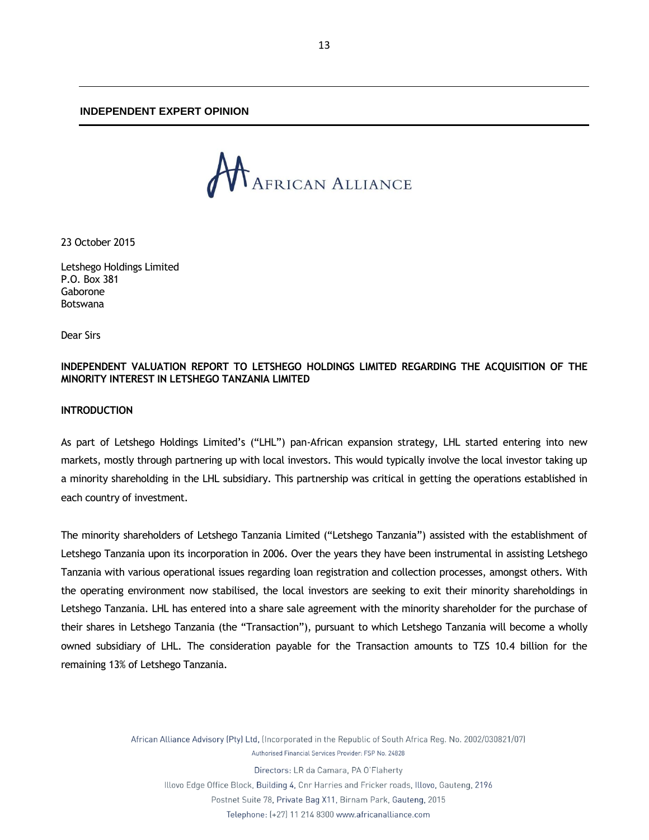#### **INDEPENDENT EXPERT OPINION**

<span id="page-12-0"></span>

23 October 2015

Letshego Holdings Limited P.O. Box 381 Gaborone Botswana

Dear Sirs

## **INDEPENDENT VALUATION REPORT TO LETSHEGO HOLDINGS LIMITED REGARDING THE ACQUISITION OF THE MINORITY INTEREST IN LETSHEGO TANZANIA LIMITED**

## **INTRODUCTION**

As part of Letshego Holdings Limited's ("LHL") pan-African expansion strategy, LHL started entering into new markets, mostly through partnering up with local investors. This would typically involve the local investor taking up a minority shareholding in the LHL subsidiary. This partnership was critical in getting the operations established in each country of investment.

The minority shareholders of Letshego Tanzania Limited ("Letshego Tanzania") assisted with the establishment of Letshego Tanzania upon its incorporation in 2006. Over the years they have been instrumental in assisting Letshego Tanzania with various operational issues regarding loan registration and collection processes, amongst others. With the operating environment now stabilised, the local investors are seeking to exit their minority shareholdings in Letshego Tanzania. LHL has entered into a share sale agreement with the minority shareholder for the purchase of their shares in Letshego Tanzania (the "Transaction"), pursuant to which Letshego Tanzania will become a wholly owned subsidiary of LHL. The consideration payable for the Transaction amounts to TZS 10.4 billion for the remaining 13% of Letshego Tanzania.

> African Alliance Advisory (Pty) Ltd, (Incorporated in the Republic of South Africa Reg. No. 2002/030821/07) Authorised Financial Services Provider: FSP No. 24828

Directors: LR da Camara, PA O'Flaherty Illovo Edge Office Block, Building 4, Cnr Harries and Fricker roads, Illovo, Gauteng, 2196

Postnet Suite 78, Private Bag X11, Birnam Park, Gauteng, 2015

Telephone: (+27) 11 214 8300 www.africanalliance.com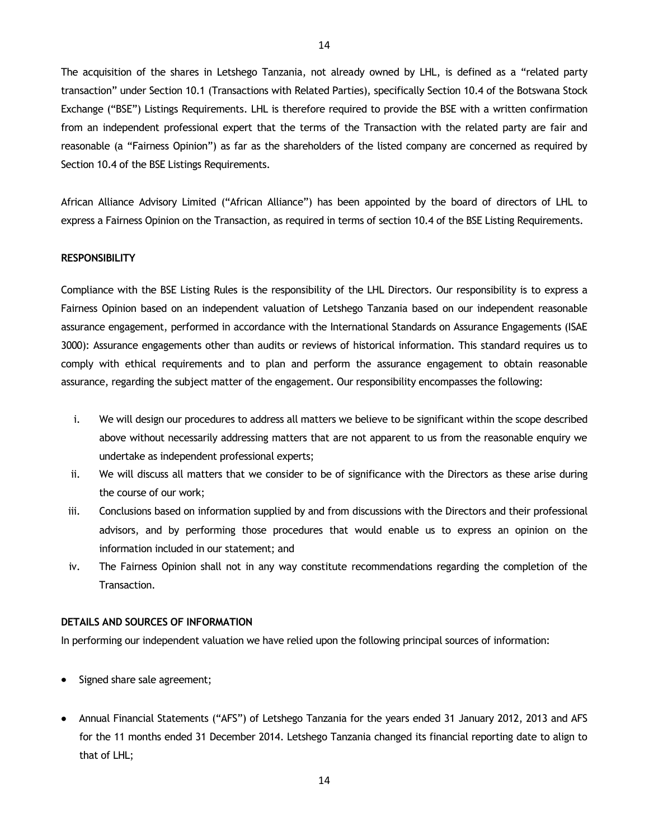The acquisition of the shares in Letshego Tanzania, not already owned by LHL, is defined as a "related party transaction" under Section 10.1 (Transactions with Related Parties), specifically Section 10.4 of the Botswana Stock Exchange ("BSE") Listings Requirements. LHL is therefore required to provide the BSE with a written confirmation from an independent professional expert that the terms of the Transaction with the related party are fair and reasonable (a "Fairness Opinion") as far as the shareholders of the listed company are concerned as required by Section 10.4 of the BSE Listings Requirements.

African Alliance Advisory Limited ("African Alliance") has been appointed by the board of directors of LHL to express a Fairness Opinion on the Transaction, as required in terms of section 10.4 of the BSE Listing Requirements.

#### **RESPONSIBILITY**

Compliance with the BSE Listing Rules is the responsibility of the LHL Directors. Our responsibility is to express a Fairness Opinion based on an independent valuation of Letshego Tanzania based on our independent reasonable assurance engagement, performed in accordance with the International Standards on Assurance Engagements (ISAE 3000): Assurance engagements other than audits or reviews of historical information. This standard requires us to comply with ethical requirements and to plan and perform the assurance engagement to obtain reasonable assurance, regarding the subject matter of the engagement. Our responsibility encompasses the following:

- i. We will design our procedures to address all matters we believe to be significant within the scope described above without necessarily addressing matters that are not apparent to us from the reasonable enquiry we undertake as independent professional experts;
- ii. We will discuss all matters that we consider to be of significance with the Directors as these arise during the course of our work;
- iii. Conclusions based on information supplied by and from discussions with the Directors and their professional advisors, and by performing those procedures that would enable us to express an opinion on the information included in our statement; and
- iv. The Fairness Opinion shall not in any way constitute recommendations regarding the completion of the Transaction.

#### **DETAILS AND SOURCES OF INFORMATION**

In performing our independent valuation we have relied upon the following principal sources of information:

- Signed share sale agreement;
- Annual Financial Statements ("AFS") of Letshego Tanzania for the years ended 31 January 2012, 2013 and AFS for the 11 months ended 31 December 2014. Letshego Tanzania changed its financial reporting date to align to that of LHL;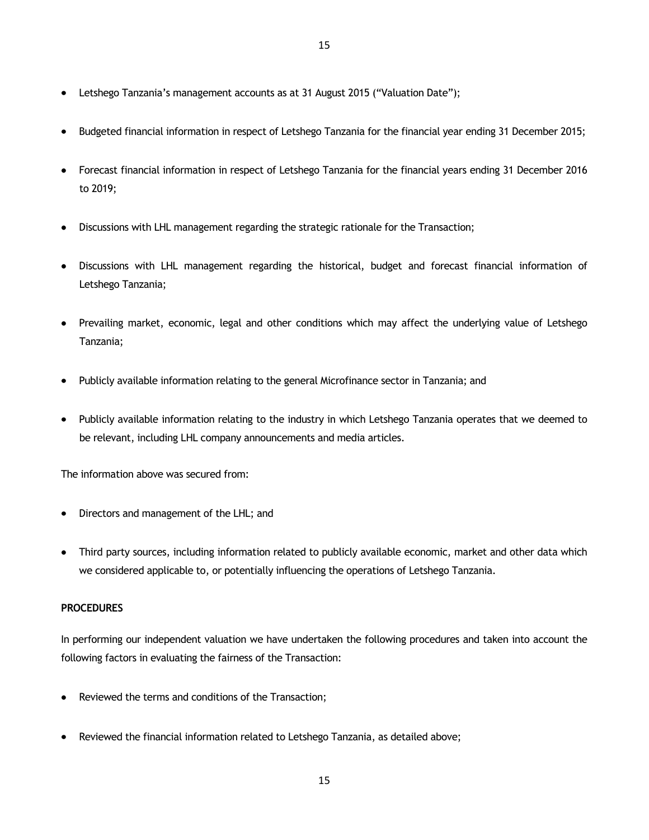- Letshego Tanzania's management accounts as at 31 August 2015 ("Valuation Date");
- Budgeted financial information in respect of Letshego Tanzania for the financial year ending 31 December 2015;
- Forecast financial information in respect of Letshego Tanzania for the financial years ending 31 December 2016 to 2019;
- Discussions with LHL management regarding the strategic rationale for the Transaction;
- Discussions with LHL management regarding the historical, budget and forecast financial information of Letshego Tanzania;
- Prevailing market, economic, legal and other conditions which may affect the underlying value of Letshego Tanzania;
- Publicly available information relating to the general Microfinance sector in Tanzania; and
- Publicly available information relating to the industry in which Letshego Tanzania operates that we deemed to be relevant, including LHL company announcements and media articles.

The information above was secured from:

- Directors and management of the LHL; and
- Third party sources, including information related to publicly available economic, market and other data which  $\bullet$ we considered applicable to, or potentially influencing the operations of Letshego Tanzania.

# **PROCEDURES**

In performing our independent valuation we have undertaken the following procedures and taken into account the following factors in evaluating the fairness of the Transaction:

- Reviewed the terms and conditions of the Transaction;
- Reviewed the financial information related to Letshego Tanzania, as detailed above;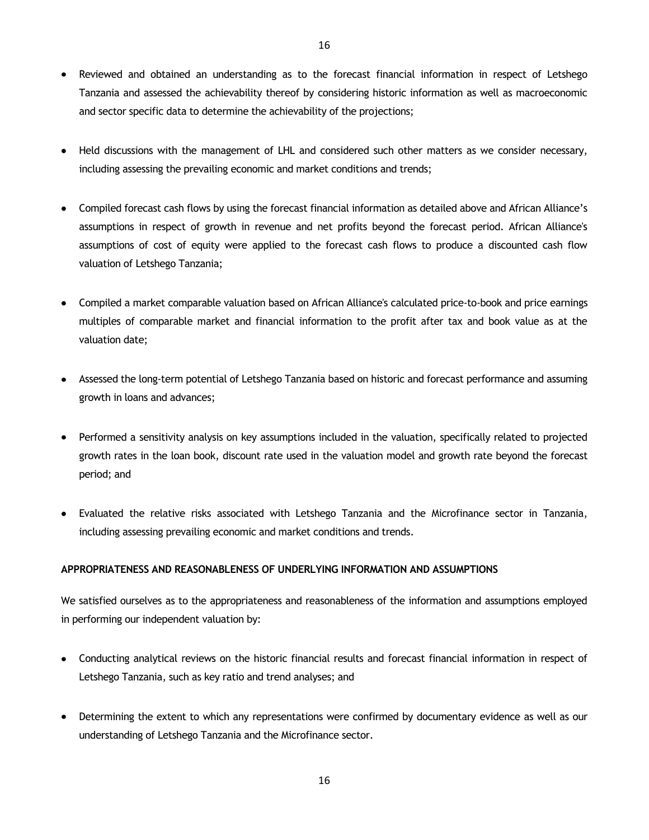- Reviewed and obtained an understanding as to the forecast financial information in respect of Letshego Tanzania and assessed the achievability thereof by considering historic information as well as macroeconomic and sector specific data to determine the achievability of the projections;
- Held discussions with the management of LHL and considered such other matters as we consider necessary, including assessing the prevailing economic and market conditions and trends;
- Compiled forecast cash flows by using the forecast financial information as detailed above and African Alliance's assumptions in respect of growth in revenue and net profits beyond the forecast period. African Alliance's assumptions of cost of equity were applied to the forecast cash flows to produce a discounted cash flow valuation of Letshego Tanzania;
- Compiled a market comparable valuation based on African Alliance's calculated price-to-book and price earnings multiples of comparable market and financial information to the profit after tax and book value as at the valuation date;
- Assessed the long-term potential of Letshego Tanzania based on historic and forecast performance and assuming growth in loans and advances;
- Performed a sensitivity analysis on key assumptions included in the valuation, specifically related to projected growth rates in the loan book, discount rate used in the valuation model and growth rate beyond the forecast period; and
- Evaluated the relative risks associated with Letshego Tanzania and the Microfinance sector in Tanzania, including assessing prevailing economic and market conditions and trends.

## **APPROPRIATENESS AND REASONABLENESS OF UNDERLYING INFORMATION AND ASSUMPTIONS**

We satisfied ourselves as to the appropriateness and reasonableness of the information and assumptions employed in performing our independent valuation by:

- Conducting analytical reviews on the historic financial results and forecast financial information in respect of Letshego Tanzania, such as key ratio and trend analyses; and
- Determining the extent to which any representations were confirmed by documentary evidence as well as our understanding of Letshego Tanzania and the Microfinance sector.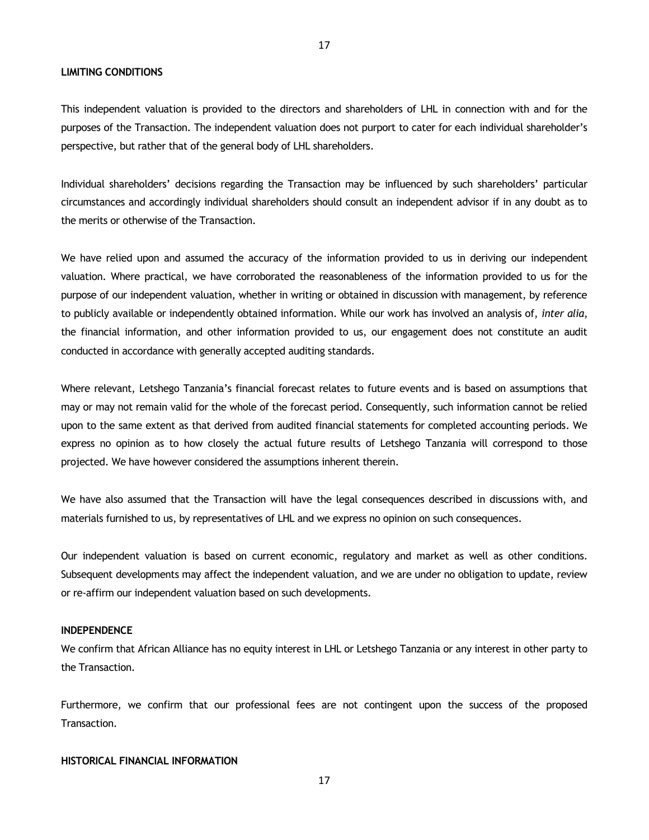**LIMITING CONDITIONS**

This independent valuation is provided to the directors and shareholders of LHL in connection with and for the purposes of the Transaction. The independent valuation does not purport to cater for each individual shareholder's perspective, but rather that of the general body of LHL shareholders.

Individual shareholders' decisions regarding the Transaction may be influenced by such shareholders' particular circumstances and accordingly individual shareholders should consult an independent advisor if in any doubt as to the merits or otherwise of the Transaction.

We have relied upon and assumed the accuracy of the information provided to us in deriving our independent valuation. Where practical, we have corroborated the reasonableness of the information provided to us for the purpose of our independent valuation, whether in writing or obtained in discussion with management, by reference to publicly available or independently obtained information. While our work has involved an analysis of, *inter alia*, the financial information, and other information provided to us, our engagement does not constitute an audit conducted in accordance with generally accepted auditing standards.

Where relevant, Letshego Tanzania's financial forecast relates to future events and is based on assumptions that may or may not remain valid for the whole of the forecast period. Consequently, such information cannot be relied upon to the same extent as that derived from audited financial statements for completed accounting periods. We express no opinion as to how closely the actual future results of Letshego Tanzania will correspond to those projected. We have however considered the assumptions inherent therein.

We have also assumed that the Transaction will have the legal consequences described in discussions with, and materials furnished to us, by representatives of LHL and we express no opinion on such consequences.

Our independent valuation is based on current economic, regulatory and market as well as other conditions. Subsequent developments may affect the independent valuation, and we are under no obligation to update, review or re-affirm our independent valuation based on such developments.

#### **INDEPENDENCE**

We confirm that African Alliance has no equity interest in LHL or Letshego Tanzania or any interest in other party to the Transaction.

Furthermore, we confirm that our professional fees are not contingent upon the success of the proposed Transaction.

## **HISTORICAL FINANCIAL INFORMATION**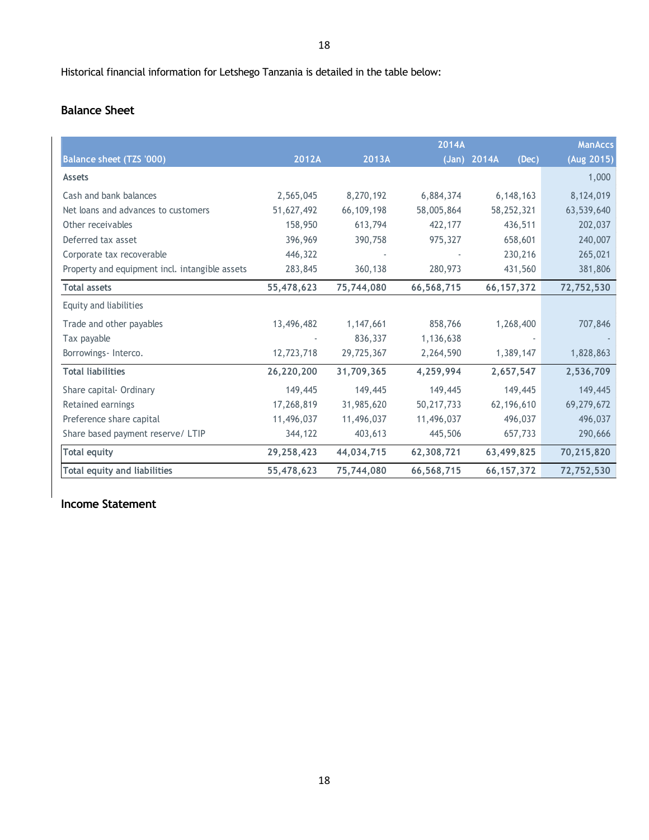# **Balance Sheet**

|                                                |            |            | 2014A      |                        | <b>ManAccs</b> |
|------------------------------------------------|------------|------------|------------|------------------------|----------------|
| Balance sheet (TZS '000)                       | 2012A      | 2013A      |            | $(Jan)$ 2014A<br>(Dec) | (Aug 2015)     |
| <b>Assets</b>                                  |            |            |            |                        | 1,000          |
| Cash and bank balances                         | 2,565,045  | 8,270,192  | 6,884,374  | 6, 148, 163            | 8,124,019      |
| Net loans and advances to customers            | 51,627,492 | 66,109,198 | 58,005,864 | 58,252,321             | 63,539,640     |
| Other receivables                              | 158,950    | 613,794    | 422,177    | 436,511                | 202,037        |
| Deferred tax asset                             | 396,969    | 390,758    | 975,327    | 658,601                | 240,007        |
| Corporate tax recoverable                      | 446,322    |            |            | 230,216                | 265,021        |
| Property and equipment incl. intangible assets | 283,845    | 360,138    | 280,973    | 431,560                | 381,806        |
| <b>Total assets</b>                            | 55,478,623 | 75,744,080 | 66,568,715 | 66, 157, 372           | 72,752,530     |
| Equity and liabilities                         |            |            |            |                        |                |
| Trade and other payables                       | 13,496,482 | 1,147,661  | 858,766    | 1,268,400              | 707,846        |
| Tax payable                                    |            | 836,337    | 1,136,638  |                        |                |
| Borrowings- Interco.                           | 12,723,718 | 29,725,367 | 2,264,590  | 1,389,147              | 1,828,863      |
| <b>Total liabilities</b>                       | 26,220,200 | 31,709,365 | 4,259,994  | 2,657,547              | 2,536,709      |
| Share capital- Ordinary                        | 149,445    | 149,445    | 149,445    | 149,445                | 149,445        |
| Retained earnings                              | 17,268,819 | 31,985,620 | 50,217,733 | 62,196,610             | 69,279,672     |
| Preference share capital                       | 11,496,037 | 11,496,037 | 11,496,037 | 496,037                | 496,037        |
| Share based payment reserve/ LTIP              | 344,122    | 403,613    | 445,506    | 657,733                | 290,666        |
| <b>Total equity</b>                            | 29,258,423 | 44,034,715 | 62,308,721 | 63,499,825             | 70,215,820     |
| <b>Total equity and liabilities</b>            | 55,478,623 | 75,744,080 | 66,568,715 | 66, 157, 372           | 72,752,530     |

**Income Statement**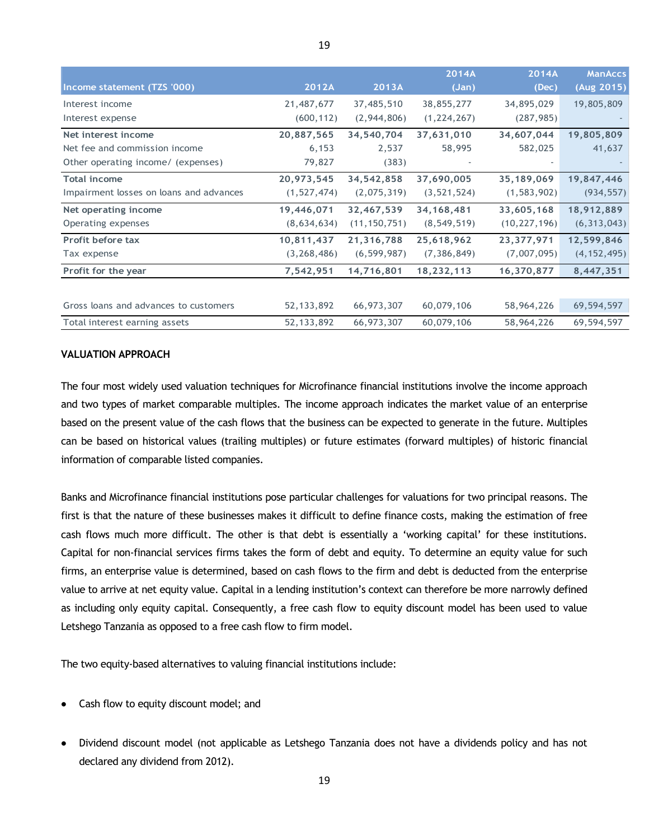|                                         |               |                | 2014A         | 2014A          | <b>ManAccs</b> |
|-----------------------------------------|---------------|----------------|---------------|----------------|----------------|
| Income statement (TZS '000)             | 2012A         | 2013A          | (Jan)         | (Dec)          | (Aug 2015)     |
| Interest income                         | 21,487,677    | 37,485,510     | 38,855,277    | 34,895,029     | 19,805,809     |
| Interest expense                        | (600, 112)    | (2,944,806)    | (1, 224, 267) | (287, 985)     |                |
| Net interest income                     | 20,887,565    | 34,540,704     | 37,631,010    | 34,607,044     | 19,805,809     |
| Net fee and commission income           | 6,153         | 2,537          | 58,995        | 582,025        | 41,637         |
| Other operating income/ (expenses)      | 79,827        | (383)          |               |                |                |
| <b>Total income</b>                     | 20,973,545    | 34,542,858     | 37,690,005    | 35,189,069     | 19,847,446     |
| Impairment losses on loans and advances | (1, 527, 474) | (2,075,319)    | (3, 521, 524) | (1, 583, 902)  | (934, 557)     |
| Net operating income                    | 19,446,071    | 32,467,539     | 34, 168, 481  | 33,605,168     | 18,912,889     |
| Operating expenses                      | (8,634,634)   | (11, 150, 751) | (8, 549, 519) | (10, 227, 196) | (6, 313, 043)  |
| <b>Profit before tax</b>                | 10,811,437    | 21,316,788     | 25,618,962    | 23,377,971     | 12,599,846     |
| Tax expense                             | (3, 268, 486) | (6, 599, 987)  | (7, 386, 849) | (7,007,095)    | (4, 152, 495)  |
| Profit for the year                     | 7,542,951     | 14,716,801     | 18,232,113    | 16,370,877     | 8,447,351      |
|                                         |               |                |               |                |                |
| Gross loans and advances to customers   | 52, 133, 892  | 66,973,307     | 60,079,106    | 58,964,226     | 69,594,597     |
| Total interest earning assets           | 52, 133, 892  | 66,973,307     | 60,079,106    | 58,964,226     | 69,594,597     |

#### **VALUATION APPROACH**

The four most widely used valuation techniques for Microfinance financial institutions involve the income approach and two types of market comparable multiples. The income approach indicates the market value of an enterprise based on the present value of the cash flows that the business can be expected to generate in the future. Multiples can be based on historical values (trailing multiples) or future estimates (forward multiples) of historic financial information of comparable listed companies.

Banks and Microfinance financial institutions pose particular challenges for valuations for two principal reasons. The first is that the nature of these businesses makes it difficult to define finance costs, making the estimation of free cash flows much more difficult. The other is that debt is essentially a 'working capital' for these institutions. Capital for non-financial services firms takes the form of debt and equity. To determine an equity value for such firms, an enterprise value is determined, based on cash flows to the firm and debt is deducted from the enterprise value to arrive at net equity value. Capital in a lending institution's context can therefore be more narrowly defined as including only equity capital. Consequently, a free cash flow to equity discount model has been used to value Letshego Tanzania as opposed to a free cash flow to firm model.

The two equity-based alternatives to valuing financial institutions include:

- Cash flow to equity discount model; and
- Dividend discount model (not applicable as Letshego Tanzania does not have a dividends policy and has not declared any dividend from 2012).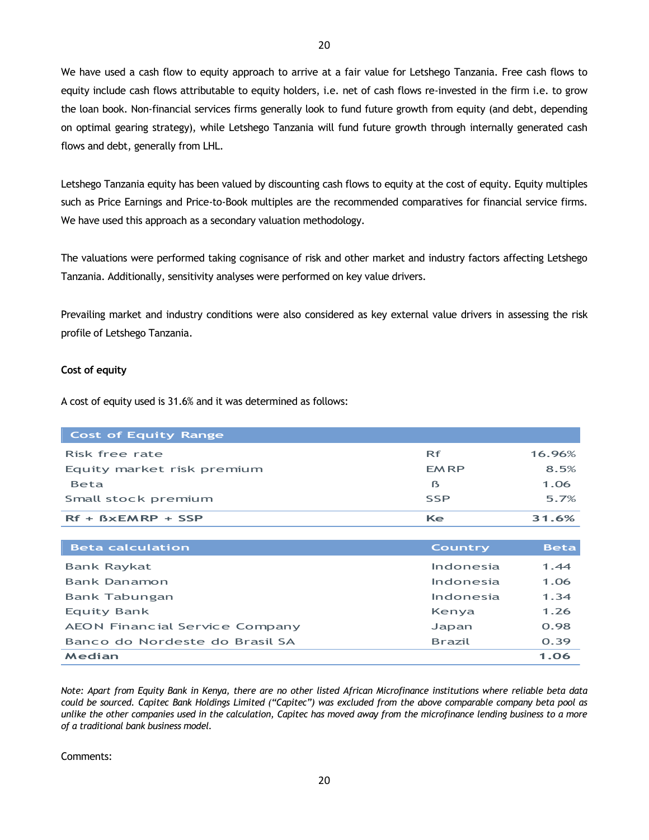We have used a cash flow to equity approach to arrive at a fair value for Letshego Tanzania. Free cash flows to equity include cash flows attributable to equity holders, i.e. net of cash flows re-invested in the firm i.e. to grow the loan book. Non-financial services firms generally look to fund future growth from equity (and debt, depending on optimal gearing strategy), while Letshego Tanzania will fund future growth through internally generated cash flows and debt, generally from LHL.

Letshego Tanzania equity has been valued by discounting cash flows to equity at the cost of equity. Equity multiples such as Price Earnings and Price-to-Book multiples are the recommended comparatives for financial service firms. We have used this approach as a secondary valuation methodology.

The valuations were performed taking cognisance of risk and other market and industry factors affecting Letshego Tanzania. Additionally, sensitivity analyses were performed on key value drivers.

Prevailing market and industry conditions were also considered as key external value drivers in assessing the risk profile of Letshego Tanzania.

#### **Cost of equity**

A cost of equity used is 31.6% and it was determined as follows:

| <b>Cost of Equity Range</b> |             |        |
|-----------------------------|-------------|--------|
| Risk free rate              | Rf          | 16.96% |
| Equity market risk premium  | <b>EMRP</b> | 8.5%   |
| <b>Beta</b>                 | ß           | 1.06   |
| Small stock premium         | <b>SSP</b>  | 5.7%   |
| $Rf + BxEMRP + SSP$         | Ke          | 31.6%  |

| <b>Beta calculation</b>               | <b>Country</b> | <b>Beta</b> |
|---------------------------------------|----------------|-------------|
| <b>Bank Raykat</b>                    | Indonesia      | 1.44        |
| Bank Danamon                          | Indonesia      | 1.06        |
| Bank Tabungan                         | Indonesia      | 1.34        |
| Equity Bank                           | Kenya          | 1.26        |
| <b>AEON Financial Service Company</b> | Japan          | 0.98        |
| Banco do Nordeste do Brasil SA        | <b>Brazil</b>  | 0.39        |
| Median                                |                | 1.06        |

*Note: Apart from Equity Bank in Kenya, there are no other listed African Microfinance institutions where reliable beta data could be sourced. Capitec Bank Holdings Limited ("Capitec") was excluded from the above comparable company beta pool as unlike the other companies used in the calculation, Capitec has moved away from the microfinance lending business to a more of a traditional bank business model.*

Comments: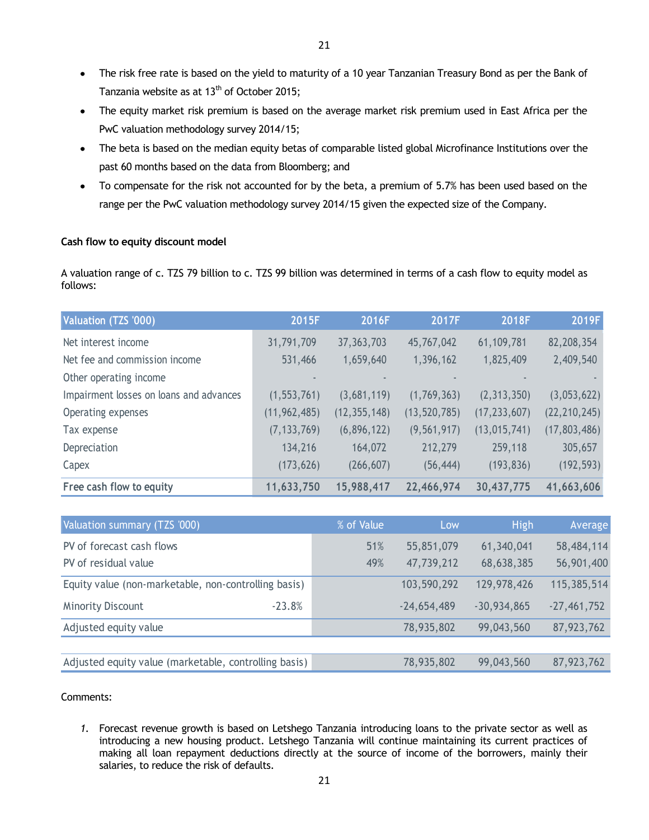- The equity market risk premium is based on the average market risk premium used in East Africa per the  $\bullet$ PwC valuation methodology survey 2014/15;
- The beta is based on the median equity betas of comparable listed global Microfinance Institutions over the past 60 months based on the data from Bloomberg; and
- To compensate for the risk not accounted for by the beta, a premium of 5.7% has been used based on the range per the PwC valuation methodology survey 2014/15 given the expected size of the Company.

## **Cash flow to equity discount model**

A valuation range of c. TZS 79 billion to c. TZS 99 billion was determined in terms of a cash flow to equity model as follows:

| Valuation (TZS '000)                                                                                                                                                                                                                                                                                                                                                                     | 2015F          | 2016F          | 2017F          | 2018F          | 2019F          |
|------------------------------------------------------------------------------------------------------------------------------------------------------------------------------------------------------------------------------------------------------------------------------------------------------------------------------------------------------------------------------------------|----------------|----------------|----------------|----------------|----------------|
| Net interest income                                                                                                                                                                                                                                                                                                                                                                      | 31,791,709     | 37, 363, 703   | 45,767,042     | 61,109,781     | 82,208,354     |
| Net fee and commission income                                                                                                                                                                                                                                                                                                                                                            | 531,466        | 1,659,640      | 1,396,162      | 1,825,409      | 2,409,540      |
| Other operating income                                                                                                                                                                                                                                                                                                                                                                   |                |                |                |                |                |
| Impairment losses on loans and advances                                                                                                                                                                                                                                                                                                                                                  | (1, 553, 761)  | (3,681,119)    | (1,769,363)    | (2, 313, 350)  | (3,053,622)    |
| Operating expenses                                                                                                                                                                                                                                                                                                                                                                       | (11, 962, 485) | (12, 355, 148) | (13, 520, 785) | (17, 233, 607) | (22, 210, 245) |
| Tax expense                                                                                                                                                                                                                                                                                                                                                                              | (7, 133, 769)  | (6,896,122)    | (9, 561, 917)  | (13, 015, 741) | (17, 803, 486) |
| Depreciation                                                                                                                                                                                                                                                                                                                                                                             | 134,216        | 164,072        | 212,279        | 259,118        | 305,657        |
| Capex                                                                                                                                                                                                                                                                                                                                                                                    | (173, 626)     | (266, 607)     | (56, 444)      | (193, 836)     | (192, 593)     |
| Free cash flow to equity                                                                                                                                                                                                                                                                                                                                                                 | 11,633,750     | 15,988,417     | 22,466,974     | 30,437,775     | 41,663,606     |
|                                                                                                                                                                                                                                                                                                                                                                                          |                |                |                |                |                |
| Valuation summary (TZS '000)                                                                                                                                                                                                                                                                                                                                                             |                | % of Value     | Low            | <b>High</b>    | Averag         |
| PV of forecast cash flows                                                                                                                                                                                                                                                                                                                                                                |                | 51%            | 55,851,079     | 61,340,041     | 58,484,11      |
| PV of residual value                                                                                                                                                                                                                                                                                                                                                                     |                | 49%            | 47,739,212     | 68,638,385     | 56,901,40      |
| Equity value (non-marketable, non-controlling basis)                                                                                                                                                                                                                                                                                                                                     |                |                | 103,590,292    | 129,978,426    | 115,385,51     |
| <b>Minority Discount</b>                                                                                                                                                                                                                                                                                                                                                                 | $-23.8%$       |                | $-24,654,489$  | $-30,934,865$  | $-27,461,752$  |
| Adjusted equity value                                                                                                                                                                                                                                                                                                                                                                    |                |                | 78,935,802     | 99,043,560     | 87,923,762     |
|                                                                                                                                                                                                                                                                                                                                                                                          |                |                |                |                |                |
| Adjusted equity value (marketable, controlling basis)                                                                                                                                                                                                                                                                                                                                    |                |                | 78,935,802     | 99,043,560     | 87,923,762     |
| Comments:<br>1. Forecast revenue growth is based on Letshego Tanzania introducing loans to the private sector as well as<br>introducing a new housing product. Letshego Tanzania will continue maintaining its current practices of<br>making all loan repayment deductions directly at the source of income of the borrowers, mainly their<br>salaries, to reduce the risk of defaults. |                |                |                |                |                |

| Valuation summary (TZS '000)                          | % of Value | Low           | High          | Average       |
|-------------------------------------------------------|------------|---------------|---------------|---------------|
| PV of forecast cash flows                             | 51%        | 55,851,079    | 61,340,041    | 58,484,114    |
| PV of residual value                                  | 49%        | 47,739,212    | 68,638,385    | 56,901,400    |
| Equity value (non-marketable, non-controlling basis)  |            | 103,590,292   | 129,978,426   | 115,385,514   |
| $-23.8%$<br><b>Minority Discount</b>                  |            | $-24,654,489$ | $-30,934,865$ | $-27,461,752$ |
| Adjusted equity value                                 |            | 78,935,802    | 99,043,560    | 87,923,762    |
|                                                       |            |               |               |               |
| Adjusted equity value (marketable, controlling basis) |            | 78,935,802    | 99,043,560    | 87,923,762    |

## Comments: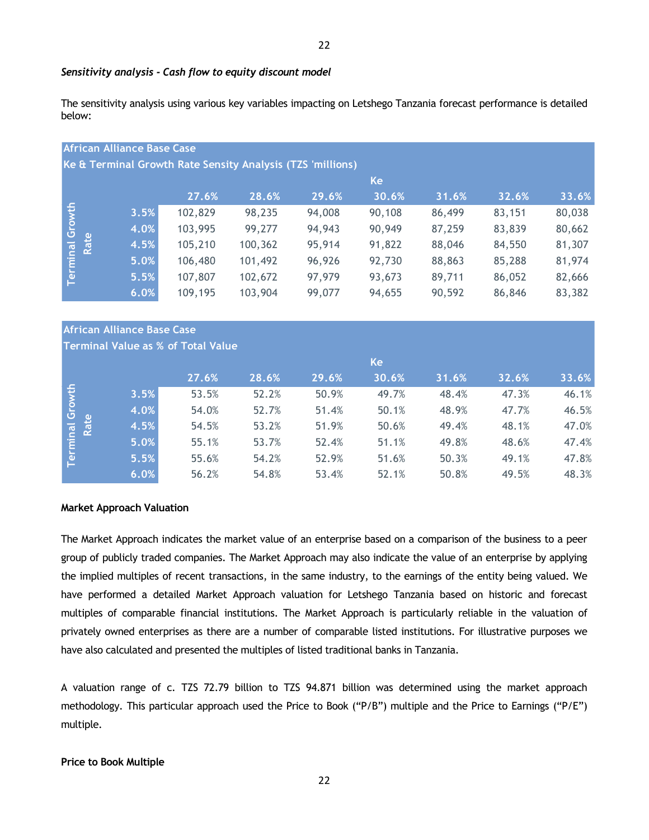#### *Sensitivity analysis - Cash flow to equity discount model*

The sensitivity analysis using various key variables impacting on Letshego Tanzania forecast performance is detailed below:

|          |      | <b>African Alliance Base Case</b> |         |                                                            |        |        |        |        |        |
|----------|------|-----------------------------------|---------|------------------------------------------------------------|--------|--------|--------|--------|--------|
|          |      |                                   |         | Ke & Terminal Growth Rate Sensity Analysis (TZS 'millions) |        |        |        |        |        |
|          |      |                                   |         |                                                            |        | Ke     |        |        |        |
|          |      |                                   | 27.6%   | 28.6%                                                      | 29.6%  | 30.6%  | 31.6%  | 32.6%  | 33.6%  |
|          |      | 3.5%                              | 102,829 | 98,235                                                     | 94,008 | 90,108 | 86,499 | 83,151 | 80,038 |
| Growth   |      | 4.0%                              | 103,995 | 99,277                                                     | 94,943 | 90,949 | 87,259 | 83,839 | 80,662 |
|          | Rate | 4.5%                              | 105,210 | 100,362                                                    | 95,914 | 91,822 | 88,046 | 84,550 | 81,307 |
| Terminal |      | 5.0%                              | 106,480 | 101,492                                                    | 96,926 | 92,730 | 88,863 | 85,288 | 81,974 |
|          |      | 5.5%                              | 107,807 | 102,672                                                    | 97,979 | 93,673 | 89,711 | 86,052 | 82,666 |
|          |      | 6.0%                              | 109,195 | 103,904                                                    | 99,077 | 94,655 | 90,592 | 86,846 | 83,382 |

# **African Alliance Base Case**

# **Terminal Value as % of Total Value**

|                         |      |       |       |       | Ke    |       |       |       |
|-------------------------|------|-------|-------|-------|-------|-------|-------|-------|
|                         |      | 27.6% | 28.6% | 29.6% | 30.6% | 31.6% | 32.6% | 33.6% |
|                         | 3.5% | 53.5% | 52.2% | 50.9% | 49.7% | 48.4% | 47.3% | 46.1% |
|                         | 4.0% | 54.0% | 52.7% | 51.4% | 50.1% | 48.9% | 47.7% | 46.5% |
|                         | 4.5% | 54.5% | 53.2% | 51.9% | 50.6% | 49.4% | 48.1% | 47.0% |
| Terminal Growth<br>Rate | 5.0% | 55.1% | 53.7% | 52.4% | 51.1% | 49.8% | 48.6% | 47.4% |
|                         | 5.5% | 55.6% | 54.2% | 52.9% | 51.6% | 50.3% | 49.1% | 47.8% |
|                         | 6.0% | 56.2% | 54.8% | 53.4% | 52.1% | 50.8% | 49.5% | 48.3% |

#### **Market Approach Valuation**

The Market Approach indicates the market value of an enterprise based on a comparison of the business to a peer group of publicly traded companies. The Market Approach may also indicate the value of an enterprise by applying the implied multiples of recent transactions, in the same industry, to the earnings of the entity being valued. We have performed a detailed Market Approach valuation for Letshego Tanzania based on historic and forecast multiples of comparable financial institutions. The Market Approach is particularly reliable in the valuation of privately owned enterprises as there are a number of comparable listed institutions. For illustrative purposes we have also calculated and presented the multiples of listed traditional banks in Tanzania.

A valuation range of c. TZS 72.79 billion to TZS 94.871 billion was determined using the market approach methodology. This particular approach used the Price to Book ("P/B") multiple and the Price to Earnings ("P/E") multiple.

#### **Price to Book Multiple**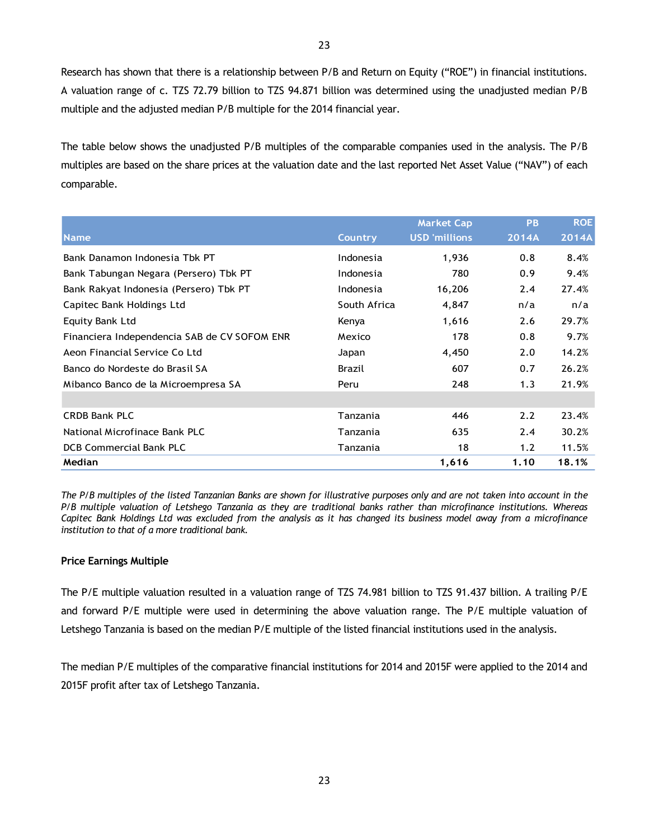Research has shown that there is a relationship between P/B and Return on Equity ("ROE") in financial institutions. A valuation range of c. TZS 72.79 billion to TZS 94.871 billion was determined using the unadjusted median P/B multiple and the adjusted median P/B multiple for the 2014 financial year.

The table below shows the unadjusted P/B multiples of the comparable companies used in the analysis. The P/B multiples are based on the share prices at the valuation date and the last reported Net Asset Value ("NAV") of each comparable.

| $m$ and $m$ and $m$ and $m$ and $m$ and $m$ are not reduced to the function and $m$ and $m$ and $m$ and $m$ and $m$ and $m$ and $m$ |                |                      |           |            |
|-------------------------------------------------------------------------------------------------------------------------------------|----------------|----------------------|-----------|------------|
| comparable.                                                                                                                         |                |                      |           |            |
|                                                                                                                                     |                | <b>Market Cap</b>    | <b>PB</b> | <b>ROE</b> |
| <b>Name</b>                                                                                                                         | <b>Country</b> | <b>USD</b> 'millions | 2014A     | 2014A      |
| Bank Danamon Indonesia Tbk PT                                                                                                       | Indonesia      | 1,936                | 0.8       | 8.4%       |
| Bank Tabungan Negara (Persero) Tbk PT                                                                                               | Indonesia      | 780                  | 0.9       | 9.4%       |
| Bank Rakyat Indonesia (Persero) Tbk PT                                                                                              | Indonesia      | 16,206               | 2.4       | 27.4%      |
| Capitec Bank Holdings Ltd                                                                                                           | South Africa   | 4,847                | n/a       | n/a        |
| <b>Equity Bank Ltd</b>                                                                                                              | Kenya          | 1,616                | 2.6       | 29.7%      |
| Financiera Independencia SAB de CV SOFOM ENR                                                                                        | Mexico         | 178                  | 0.8       | 9.7%       |
| Aeon Financial Service Co Ltd                                                                                                       | Japan          | 4,450                | 2.0       | 14.2%      |
| Banco do Nordeste do Brasil SA                                                                                                      | Brazil         | 607                  | 0.7       | 26.2%      |
| Mibanco Banco de la Microempresa SA                                                                                                 | Peru           | 248                  | 1.3       | 21.9%      |
|                                                                                                                                     |                |                      |           |            |
| <b>CRDB Bank PLC</b>                                                                                                                | Tanzania       | 446                  | 2.2       | 23.4%      |
| National Microfinace Bank PLC                                                                                                       | Tanzania       | 635                  | 2.4       | 30.2%      |
| DCB Commercial Bank PLC                                                                                                             | Tanzania       | 18                   | 1.2       | 11.5%      |
| Median                                                                                                                              |                | 1,616                | 1.10      | 18.1%      |

*The P/B multiples of the listed Tanzanian Banks are shown for illustrative purposes only and are not taken into account in the P/B multiple valuation of Letshego Tanzania as they are traditional banks rather than microfinance institutions. Whereas Capitec Bank Holdings Ltd was excluded from the analysis as it has changed its business model away from a microfinance institution to that of a more traditional bank.*

## **Price Earnings Multiple**

The P/E multiple valuation resulted in a valuation range of TZS 74.981 billion to TZS 91.437 billion. A trailing P/E and forward P/E multiple were used in determining the above valuation range. The P/E multiple valuation of Letshego Tanzania is based on the median P/E multiple of the listed financial institutions used in the analysis.

The median P/E multiples of the comparative financial institutions for 2014 and 2015F were applied to the 2014 and 2015F profit after tax of Letshego Tanzania.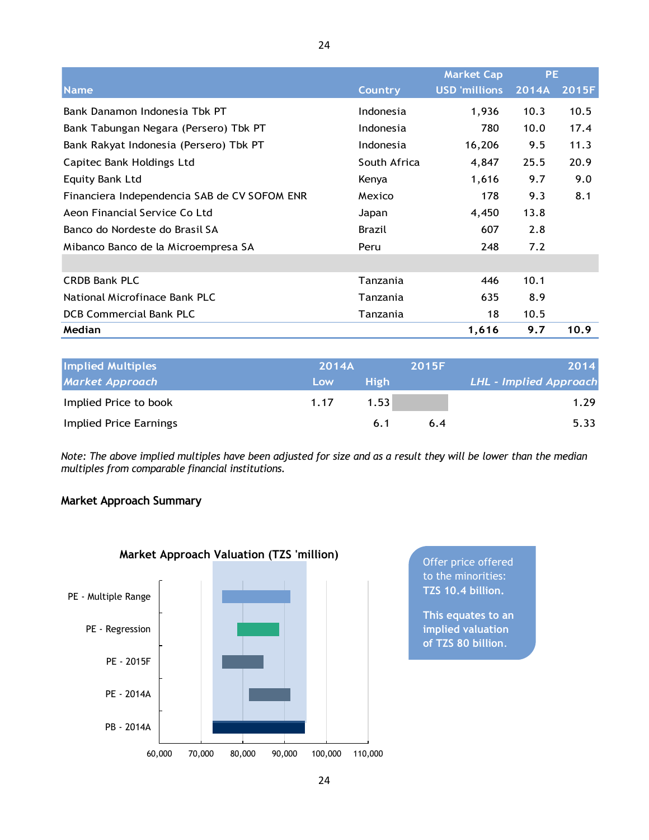|                                              | 24 |                |                      |       |       |
|----------------------------------------------|----|----------------|----------------------|-------|-------|
|                                              |    |                | <b>Market Cap</b>    | PE.   |       |
| <b>Name</b>                                  |    | <b>Country</b> | <b>USD</b> 'millions | 2014A | 2015F |
| Bank Danamon Indonesia Tbk PT                |    | Indonesia      | 1,936                | 10.3  | 10.5  |
| Bank Tabungan Negara (Persero) Tbk PT        |    | Indonesia      | 780                  | 10.0  | 17.4  |
| Bank Rakyat Indonesia (Persero) Tbk PT       |    | Indonesia      | 16,206               | 9.5   | 11.3  |
| Capitec Bank Holdings Ltd                    |    | South Africa   | 4,847                | 25.5  | 20.9  |
| <b>Equity Bank Ltd</b>                       |    | Kenya          | 1,616                | 9.7   | 9.0   |
| Financiera Independencia SAB de CV SOFOM ENR |    | Mexico         | 178                  | 9.3   | 8.1   |
| Aeon Financial Service Co Ltd                |    | Japan          | 4,450                | 13.8  |       |
| Banco do Nordeste do Brasil SA               |    | <b>Brazil</b>  | 607                  | 2.8   |       |
| Mibanco Banco de la Microempresa SA          |    | Peru           | 248                  | 7.2   |       |
|                                              |    |                |                      |       |       |
| <b>CRDB Bank PLC</b>                         |    | Tanzania       | 446                  | 10.1  |       |
| National Microfinace Bank PLC                |    | Tanzania       | 635                  | 8.9   |       |
| <b>DCB Commercial Bank PLC</b>               |    | Tanzania       | 18                   | 10.5  |       |
| Median                                       |    |                | 1,616                | 9.7   | 10.9  |

| <b>Implied Multiples</b> | 2014A |             | <b>2015F</b> | 2014                   |
|--------------------------|-------|-------------|--------------|------------------------|
| <b>Market Approach</b>   | Low   | <b>High</b> |              | LHL - Implied Approach |
| Implied Price to book    | 1.17  | 1.53        |              | 1.29                   |
| Implied Price Earnings   |       | 6.1         | 6.4          | 5.33                   |

*Note: The above implied multiples have been adjusted for size and as a result they will be lower than the median multiples from comparable financial institutions.*

# **Market Approach Summary**



to the minorities: **TZS 10.4 billion.**

**This equates to an implied valuation of TZS 80 billion**.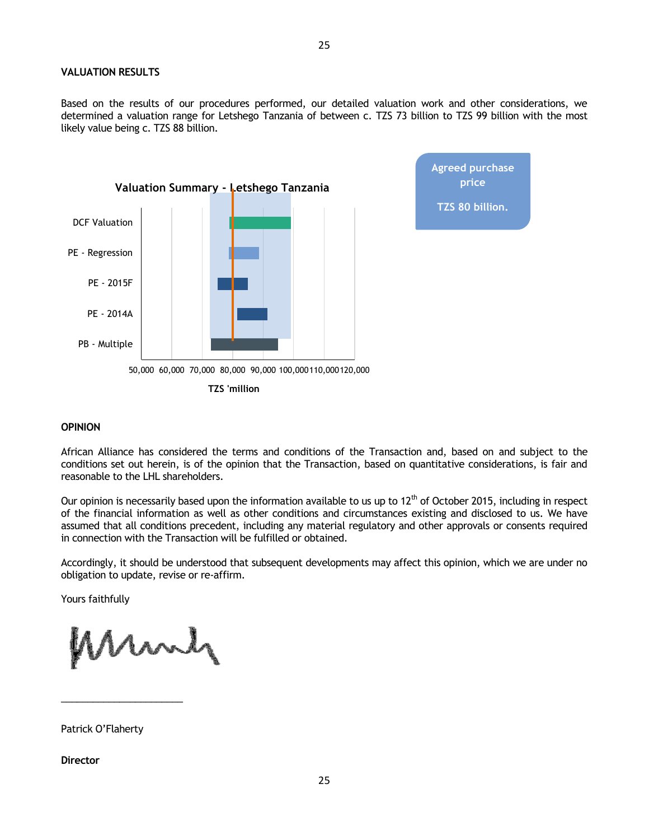#### **VALUATION RESULTS**

Based on the results of our procedures performed, our detailed valuation work and other considerations, we determined a valuation range for Letshego Tanzania of between c. TZS 73 billion to TZS 99 billion with the most likely value being c. TZS 88 billion.

**price**

**TZS 80 billion.**



#### **OPINION**

African Alliance has considered the terms and conditions of the Transaction and, based on and subject to the conditions set out herein, is of the opinion that the Transaction, based on quantitative considerations, is fair and reasonable to the LHL shareholders.

Our opinion is necessarily based upon the information available to us up to  $12<sup>th</sup>$  of October 2015, including in respect of the financial information as well as other conditions and circumstances existing and disclosed to us. We have assumed that all conditions precedent, including any material regulatory and other approvals or consents required in connection with the Transaction will be fulfilled or obtained.

Accordingly, it should be understood that subsequent developments may affect this opinion, which we are under no obligation to update, revise or re-affirm.

Yours faithfully

Many

Patrick O'Flaherty

\_\_\_\_\_\_\_\_\_\_\_\_\_\_\_\_\_\_\_\_\_\_\_

**Director**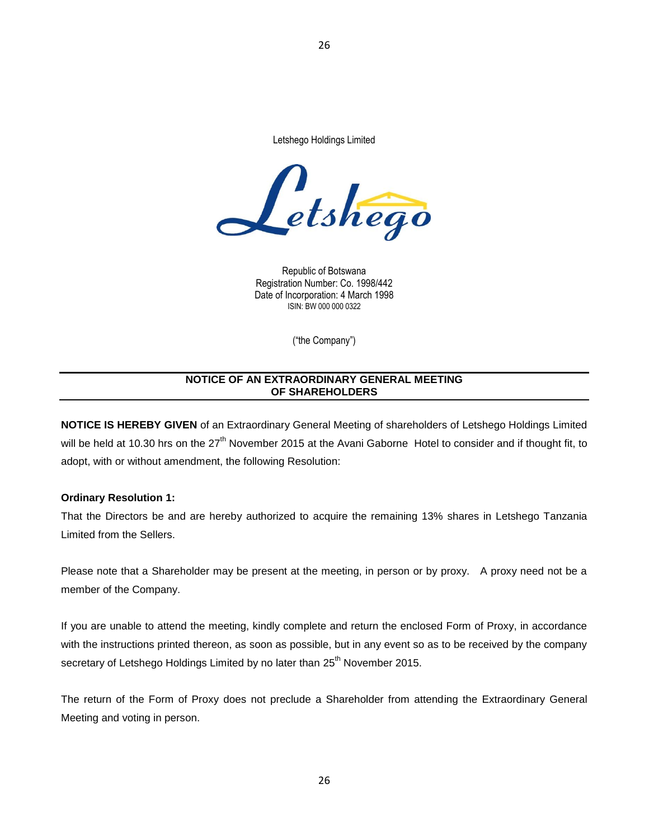Letshego Holdings Limited

26



Republic of Botswana Registration Number: Co. 1998/442 Date of Incorporation: 4 March 1998 ISIN: BW 000 000 0322

<span id="page-25-0"></span>("the Company")

## **NOTICE OF AN EXTRAORDINARY GENERAL MEETING OF SHAREHOLDERS**

**NOTICE IS HEREBY GIVEN** of an Extraordinary General Meeting of shareholders of Letshego Holdings Limited will be held at 10.30 hrs on the 27<sup>th</sup> November 2015 at the Avani Gaborne Hotel to consider and if thought fit, to adopt, with or without amendment, the following Resolution:

## **Ordinary Resolution 1:**

That the Directors be and are hereby authorized to acquire the remaining 13% shares in Letshego Tanzania Limited from the Sellers.

Please note that a Shareholder may be present at the meeting, in person or by proxy. A proxy need not be a member of the Company.

If you are unable to attend the meeting, kindly complete and return the enclosed Form of Proxy, in accordance with the instructions printed thereon, as soon as possible, but in any event so as to be received by the company secretary of Letshego Holdings Limited by no later than 25<sup>th</sup> November 2015.

The return of the Form of Proxy does not preclude a Shareholder from attending the Extraordinary General Meeting and voting in person.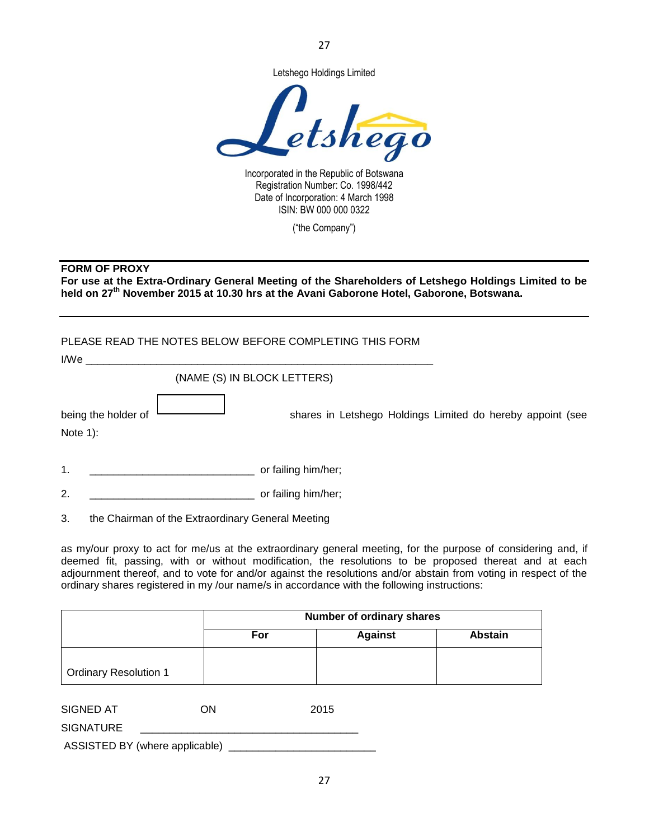

27

Incorporated in the Republic of Botswana Registration Number: Co. 1998/442 Date of Incorporation: 4 March 1998 ISIN: BW 000 000 0322

("the Company")

## <span id="page-26-0"></span>**FORM OF PROXY**

**For use at the Extra-Ordinary General Meeting of the Shareholders of Letshego Holdings Limited to be held on 27th November 2015 at 10.30 hrs at the Avani Gaborone Hotel, Gaborone, Botswana.**

## PLEASE READ THE NOTES BELOW BEFORE COMPLETING THIS FORM

| I/We                              |                                                            |
|-----------------------------------|------------------------------------------------------------|
| (NAME (S) IN BLOCK LETTERS)       |                                                            |
| being the holder of<br>Note $1$ : | shares in Letshego Holdings Limited do hereby appoint (see |
| 1.                                | or failing him/her;                                        |
| 2.                                | or failing him/her;                                        |

3. the Chairman of the Extraordinary General Meeting

as my/our proxy to act for me/us at the extraordinary general meeting, for the purpose of considering and, if deemed fit, passing, with or without modification, the resolutions to be proposed thereat and at each adjournment thereof, and to vote for and/or against the resolutions and/or abstain from voting in respect of the ordinary shares registered in my /our name/s in accordance with the following instructions:

|                              | Number of ordinary shares        |  |  |  |
|------------------------------|----------------------------------|--|--|--|
|                              | <b>Against</b><br>Abstain<br>For |  |  |  |
|                              |                                  |  |  |  |
| <b>Ordinary Resolution 1</b> |                                  |  |  |  |

| SIGNED AT                      | ON | 2015 |
|--------------------------------|----|------|
| <b>SIGNATURE</b>               |    |      |
| ASSISTED BY (where applicable) |    |      |